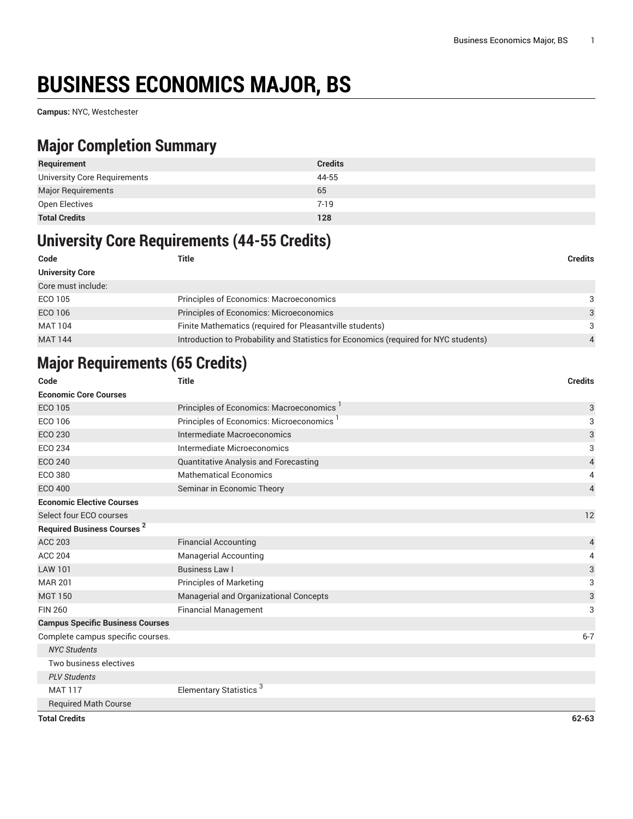# **BUSINESS ECONOMICS MAJOR, BS**

**Campus:** NYC, Westchester

#### **Major Completion Summary**

| Requirement                  | <b>Credits</b> |
|------------------------------|----------------|
| University Core Requirements | 44-55          |
| <b>Major Requirements</b>    | 65             |
| Open Electives               | $7 - 19$       |
| <b>Total Credits</b>         | 128            |

#### **University Core Requirements (44-55 Credits)**

| Code                   | Title                                                                                | Credits       |
|------------------------|--------------------------------------------------------------------------------------|---------------|
| <b>University Core</b> |                                                                                      |               |
| Core must include:     |                                                                                      |               |
| ECO 105                | Principles of Economics: Macroeconomics                                              | $\mathcal{B}$ |
| <b>ECO 106</b>         | Principles of Economics: Microeconomics                                              | $\mathcal{E}$ |
| MAT 104                | Finite Mathematics (required for Pleasantville students)                             | $\mathcal{B}$ |
| <b>MAT 144</b>         | Introduction to Probability and Statistics for Economics (required for NYC students) |               |

## **Major Requirements (65 Credits)**

| <b>Title</b>                                         | <b>Credits</b> |
|------------------------------------------------------|----------------|
|                                                      |                |
| Principles of Economics: Macroeconomics              | 3              |
| Principles of Economics: Microeconomics <sup>1</sup> | 3              |
| Intermediate Macroeconomics                          | 3              |
| Intermediate Microeconomics                          | 3              |
| Quantitative Analysis and Forecasting                | 4              |
| <b>Mathematical Economics</b>                        | $\overline{4}$ |
| Seminar in Economic Theory                           | $\overline{4}$ |
|                                                      |                |
|                                                      | 12             |
|                                                      |                |
| <b>Financial Accounting</b>                          | 4              |
| <b>Managerial Accounting</b>                         | 4              |
| <b>Business Law I</b>                                | 3              |
| <b>Principles of Marketing</b>                       | 3              |
| Managerial and Organizational Concepts               | 3              |
| <b>Financial Management</b>                          | 3              |
|                                                      |                |
|                                                      | $6 - 7$        |
|                                                      |                |
|                                                      |                |
|                                                      |                |
| Elementary Statistics <sup>3</sup>                   |                |
|                                                      |                |
|                                                      |                |

**Total Credits 62-63**